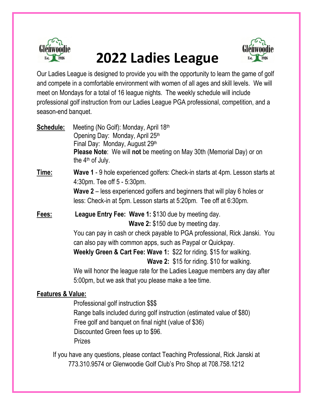

## **2022 Ladies League**



Our Ladies League is designed to provide you with the opportunity to learn the game of golf and compete in a comfortable environment with women of all ages and skill levels. We will meet on Mondays for a total of 16 league nights. The weekly schedule will include professional golf instruction from our Ladies League PGA professional, competition, and a season-end banquet.

| Schedule:                    | Meeting (No Golf): Monday, April 18th<br>Opening Day: Monday, April 25th<br>Final Day: Monday, August 29th<br><b>Please Note:</b> We will not be meeting on May 30th (Memorial Day) or on<br>the $4th$ of July.                                                                                                                                                                                                                                                                                      |  |
|------------------------------|------------------------------------------------------------------------------------------------------------------------------------------------------------------------------------------------------------------------------------------------------------------------------------------------------------------------------------------------------------------------------------------------------------------------------------------------------------------------------------------------------|--|
| Time:                        | Wave 1 - 9 hole experienced golfers: Check-in starts at 4pm. Lesson starts at<br>4:30pm. Tee off 5 - 5:30pm.<br><b>Wave 2</b> – less experienced golfers and beginners that will play 6 holes or<br>less: Check-in at 5pm. Lesson starts at 5:20pm. Tee off at 6:30pm.                                                                                                                                                                                                                               |  |
| Fees:                        | League Entry Fee: Wave 1: \$130 due by meeting day.<br>Wave 2: \$150 due by meeting day.<br>You can pay in cash or check payable to PGA professional, Rick Janski. You<br>can also pay with common apps, such as Paypal or Quickpay.<br>Weekly Green & Cart Fee: Wave 1: \$22 for riding. \$15 for walking.<br><b>Wave 2: \$15 for riding. \$10 for walking.</b><br>We will honor the league rate for the Ladies League members any day after<br>5:00pm, but we ask that you please make a tee time. |  |
| <b>Features &amp; Value:</b> | Professional golf instruction \$\$\$<br>Range balls included during golf instruction (estimated value of \$80)<br>Free golf and banquet on final night (value of \$36)<br>Discounted Green fees up to \$96.                                                                                                                                                                                                                                                                                          |  |

Prizes

If you have any questions, please contact Teaching Professional, Rick Janski at 773.310.9574 or Glenwoodie Golf Club's Pro Shop at 708.758.1212